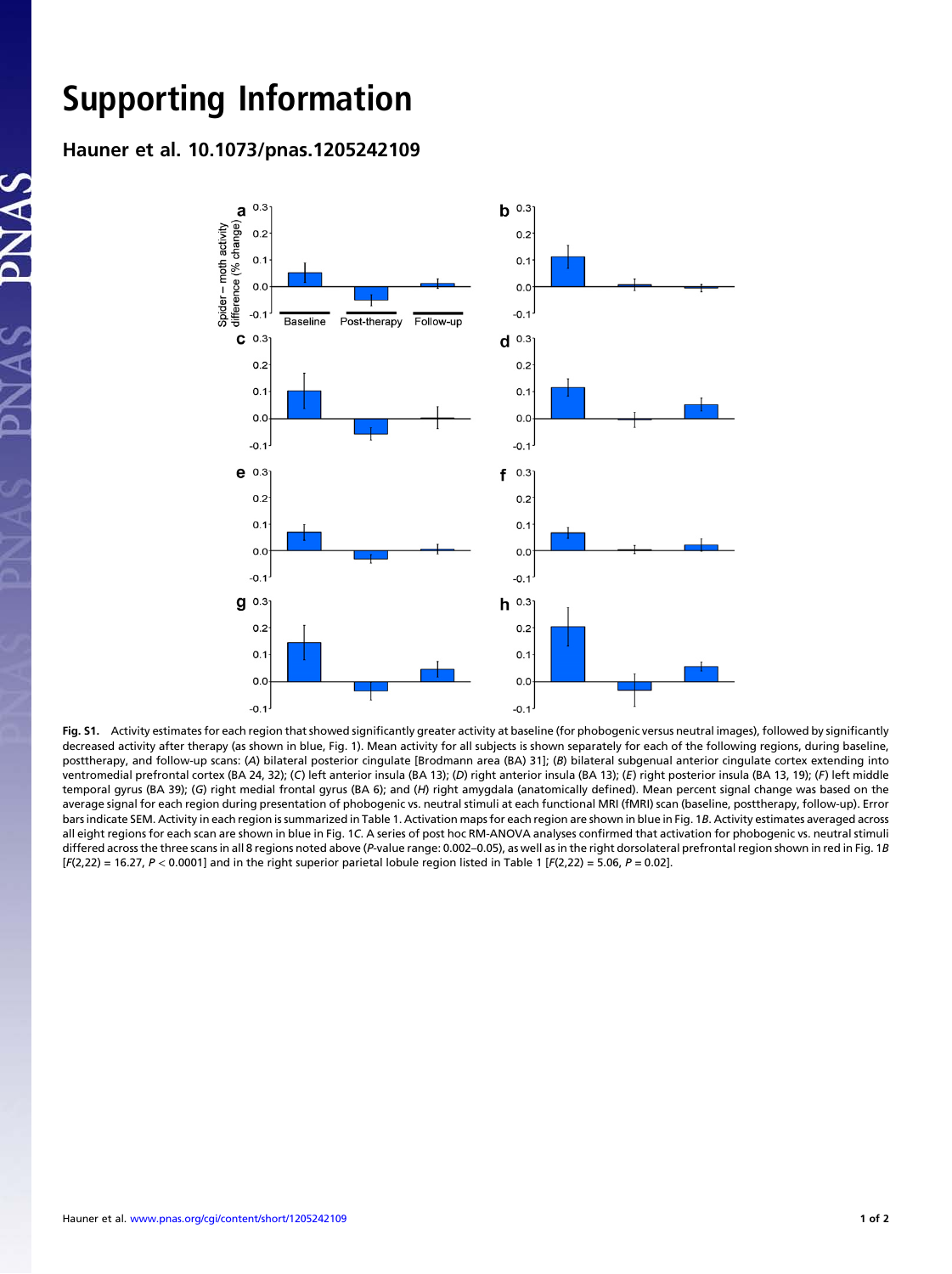## Supporting Information<br>Hauner et al. 10.1073/pnas.1205242109

## Hauner et al. 1073/parties and 10.1073/parties and 10.1073/parties and 10.1073/parties and 10.1073/parties and



Fig. S1. Activity estimates for each region that showed significantly greater activity at baseline (for phobogenic versus neutral images), followed by significantly decreased activity after therapy (as shown in blue, Fig. 1). Mean activity for all subjects is shown separately for each of the following regions, during baseline, posttherapy, and follow-up scans: (A) bilateral posterior cingulate [Brodmann area (BA) 31]; (B) bilateral subgenual anterior cingulate cortex extending into ventromedial prefrontal cortex (BA 24, 32); (C) left anterior insula (BA 13); (D) right anterior insula (BA 13); (E) right posterior insula (BA 13, 19); (F) left middle temporal gyrus (BA 39); (G) right medial frontal gyrus (BA 6); and (H) right amygdala (anatomically defined). Mean percent signal change was based on the average signal for each region during presentation of phobogenic vs. neutral stimuli at each functional MRI (fMRI) scan (baseline, posttherapy, follow-up). Error bars indicate SEM. Activity in each region is summarized in Table 1. Activation maps for each region are shown in blue in Fig. 1B. Activity estimates averaged across all eight regions for each scan are shown in blue in Fig. 1C. A series of post hoc RM-ANOVA analyses confirmed that activation for phobogenic vs. neutral stimuli differed across the three scans in all 8 regions noted above (P-value range: 0.002-0.05), as well as in the right dorsolateral prefrontal region shown in red in Fig. 1B  $[F(2,22) = 16.27, P < 0.0001]$  and in the right superior parietal lobule region listed in Table 1  $[F(2,22) = 5.06, P = 0.02]$ .